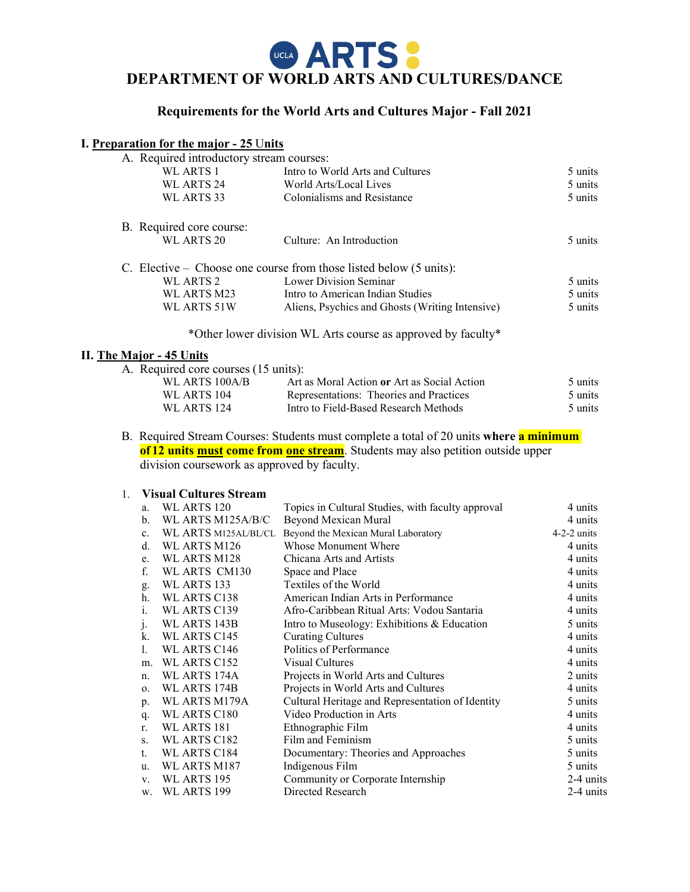# **GEARTS: DEPARTMENT OF WORLD ARTS AND CULTURES/DANCE**

# **Requirements for the World Arts and Cultures Major - Fall 2021**

## **I. Preparation for the major - 25** U**nits**

| A. Required introductory stream courses: |                                                                               |         |
|------------------------------------------|-------------------------------------------------------------------------------|---------|
| WL ARTS 1                                | Intro to World Arts and Cultures                                              | 5 units |
| WL ARTS 24                               | World Arts/Local Lives                                                        | 5 units |
| WL ARTS 33                               | Colonialisms and Resistance                                                   | 5 units |
| B. Required core course:                 |                                                                               |         |
| WL ARTS 20                               | Culture: An Introduction                                                      | 5 units |
|                                          | C. Elective – Choose one course from those listed below $(5 \text{ units})$ : |         |
| WL ARTS 2                                | Lower Division Seminar                                                        | 5 units |
| WL ARTS M23                              | Intro to American Indian Studies                                              | 5 units |
| WL ARTS 51W                              | Aliens, Psychics and Ghosts (Writing Intensive)                               | 5 units |
|                                          | *Other lower division WL Arts course as approved by faculty*                  |         |

#### **II. The Major - 45 Units**

| A. Required core courses (15 units): |                                             |         |
|--------------------------------------|---------------------------------------------|---------|
| WL ARTS 100A/B                       | Art as Moral Action or Art as Social Action | 5 units |
| WL ARTS 104                          | Representations: Theories and Practices     | 5 units |
| WL ARTS 124                          | Intro to Field-Based Research Methods       | 5 units |
|                                      |                                             |         |

B. Required Stream Courses: Students must complete a total of 20 units **where a minimum of 12 units must come from one stream**. Students may also petition outside upper division coursework as approved by faculty.

# 1. **Visual Cultures Stream**

| a.             | WL ARTS 120          | Topics in Cultural Studies, with faculty approval | 4 units       |
|----------------|----------------------|---------------------------------------------------|---------------|
| b.             | WL ARTS M125A/B/C    | Beyond Mexican Mural                              | 4 units       |
| $\mathbf{c}$ . | WL ARTS M125AL/BL/CL | Beyond the Mexican Mural Laboratory               | $4-2-2$ units |
| d.             | WL ARTS M126         | Whose Monument Where                              | 4 units       |
| e.             | WL ARTS M128         | Chicana Arts and Artists                          | 4 units       |
| f.             | WL ARTS CM130        | Space and Place                                   | 4 units       |
| g.             | WL ARTS 133          | Textiles of the World                             | 4 units       |
| h.             | WL ARTS C138         | American Indian Arts in Performance               | 4 units       |
| 1.             | WL ARTS C139         | Afro-Caribbean Ritual Arts: Vodou Santaria        | 4 units       |
| $\cdot$        | WL ARTS 143B         | Intro to Museology: Exhibitions & Education       | 5 units       |
| k.             | WL ARTS C145         | <b>Curating Cultures</b>                          | 4 units       |
| 1.             | WL ARTS C146         | Politics of Performance                           | 4 units       |
| m.             | WL ARTS C152         | Visual Cultures                                   | 4 units       |
| n.             | WL ARTS 174A         | Projects in World Arts and Cultures               | 2 units       |
| $\Omega$ .     | WL ARTS 174B         | Projects in World Arts and Cultures               | 4 units       |
| p.             | WL ARTS M179A        | Cultural Heritage and Representation of Identity  | 5 units       |
| q.             | WL ARTS C180         | Video Production in Arts                          | 4 units       |
| r.             | WL ARTS 181          | Ethnographic Film                                 | 4 units       |
| S.             | WL ARTS C182         | Film and Feminism                                 | 5 units       |
| $t_{\cdot}$    | WL ARTS C184         | Documentary: Theories and Approaches              | 5 units       |
| u.             | WL ARTS M187         | Indigenous Film                                   | 5 units       |
| V.             | WL ARTS 195          | Community or Corporate Internship                 | 2-4 units     |
| w.             | WL ARTS 199          | Directed Research                                 | 2-4 units     |
|                |                      |                                                   |               |